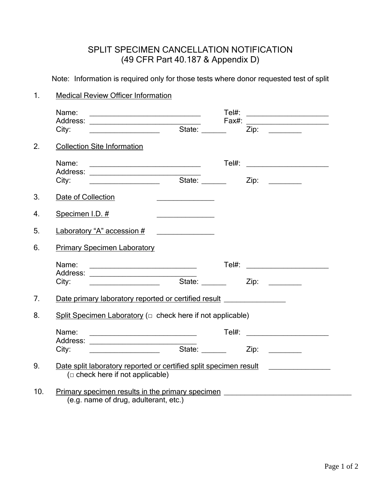# SPLIT SPECIMEN CANCELLATION NOTIFICATION (49 CFR Part 40.187 & Appendix D)

Note: Information is required only for those tests where donor requested test of split

### 1. Medical Review Officer Information

|     | Name:<br>City:                                                                                              | <u> 1999 - Johann John Stein, markin fan it ferskearre fan it ferskearre fan it ferskearre fan it ferskearre fan i</u>                                                                                                                                                                          | $Tel#$ :                                        | <u> 1980 - Andrea Andrew Maria (h. 1980).</u> |  |                                                                                                                         |  |
|-----|-------------------------------------------------------------------------------------------------------------|-------------------------------------------------------------------------------------------------------------------------------------------------------------------------------------------------------------------------------------------------------------------------------------------------|-------------------------------------------------|-----------------------------------------------|--|-------------------------------------------------------------------------------------------------------------------------|--|
|     |                                                                                                             |                                                                                                                                                                                                                                                                                                 |                                                 |                                               |  | $Zip: \ \_$                                                                                                             |  |
| 2.  |                                                                                                             | <b>Collection Site Information</b>                                                                                                                                                                                                                                                              |                                                 |                                               |  |                                                                                                                         |  |
|     | Name:<br>City:                                                                                              | <u> 1989 - Johann Barbara, martin amerikan basar da</u><br><u> 1989 - Johann Harry Harry Harry Harry Harry Harry Harry Harry Harry Harry Harry Harry Harry Harry Harry Harry Harry Harry Harry Harry Harry Harry Harry Harry Harry Harry Harry Harry Harry Harry Harry Harry Harry Harry Ha</u> | State: ______                                   |                                               |  | Tel#: ________________________<br>Zip:                                                                                  |  |
| 3.  | Date of Collection                                                                                          |                                                                                                                                                                                                                                                                                                 |                                                 |                                               |  |                                                                                                                         |  |
| 4.  | Specimen I.D. #                                                                                             |                                                                                                                                                                                                                                                                                                 | <u> 1999 - Johann John Stone, markin film f</u> |                                               |  |                                                                                                                         |  |
| 5.  |                                                                                                             | Laboratory "A" accession #                                                                                                                                                                                                                                                                      | <u> Listen de la componenta</u>                 |                                               |  |                                                                                                                         |  |
| 6.  |                                                                                                             | <b>Primary Specimen Laboratory</b>                                                                                                                                                                                                                                                              |                                                 |                                               |  |                                                                                                                         |  |
|     | Name:<br>City:                                                                                              | <u> 1980 - Johann Barn, mars ar breithinn ar chuid ann an t-Alban ann an t-Alban ann an t-Alban ann an t-Alban a</u>                                                                                                                                                                            | State: ______                                   |                                               |  | Tel#: _________________________<br>Zip:                                                                                 |  |
| 7.  | Date primary laboratory reported or certified result                                                        |                                                                                                                                                                                                                                                                                                 |                                                 |                                               |  |                                                                                                                         |  |
| 8.  | Split Specimen Laboratory ( $\Box$ check here if not applicable)                                            |                                                                                                                                                                                                                                                                                                 |                                                 |                                               |  |                                                                                                                         |  |
|     | Name:<br>City:                                                                                              |                                                                                                                                                                                                                                                                                                 |                                                 |                                               |  | Zip:                                                                                                                    |  |
| 9.  | Date split laboratory reported or certified split specimen result<br>( $\Box$ check here if not applicable) |                                                                                                                                                                                                                                                                                                 |                                                 |                                               |  |                                                                                                                         |  |
| 10. |                                                                                                             | (e.g. name of drug, adulterant, etc.)                                                                                                                                                                                                                                                           |                                                 |                                               |  | Primary specimen results in the primary specimen <b>Fig. 1.1 August 2.1 August 2.1 August 2.1 August 2.1 August 2.1</b> |  |